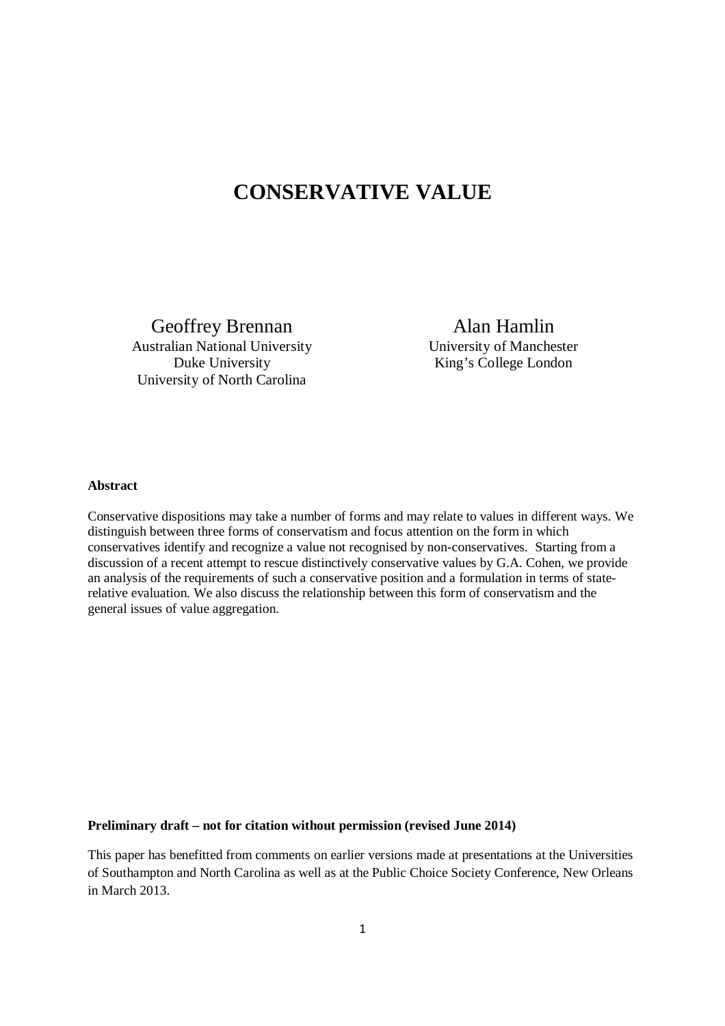# **CONSERVATIVE VALUE**

Geoffrey Brennan Australian National University Duke University University of North Carolina

Alan Hamlin University of Manchester King's College London

### **Abstract**

Conservative dispositions may take a number of forms and may relate to values in different ways. We distinguish between three forms of conservatism and focus attention on the form in which conservatives identify and recognize a value not recognised by non-conservatives. Starting from a discussion of a recent attempt to rescue distinctively conservative values by G.A. Cohen, we provide an analysis of the requirements of such a conservative position and a formulation in terms of staterelative evaluation. We also discuss the relationship between this form of conservatism and the general issues of value aggregation.

### **Preliminary draft – not for citation without permission (revised June 2014)**

This paper has benefitted from comments on earlier versions made at presentations at the Universities of Southampton and North Carolina as well as at the Public Choice Society Conference, New Orleans in March 2013.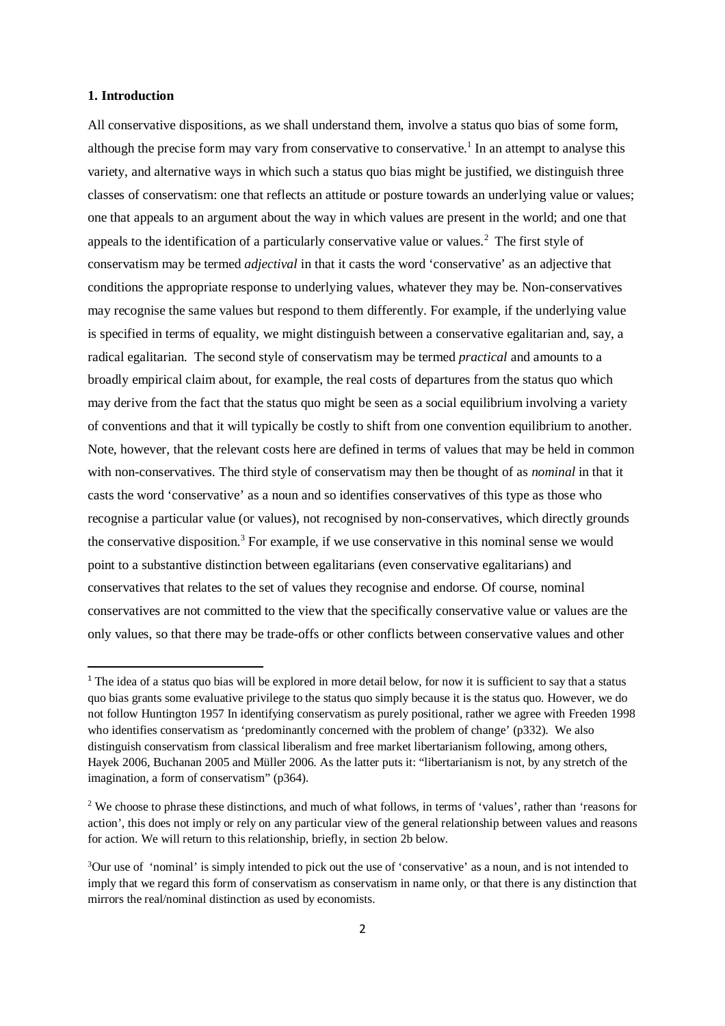### **1. Introduction**

 $\overline{a}$ 

All conservative dispositions, as we shall understand them, involve a status quo bias of some form, although the precise form may vary from conservative to conservative.<sup>1</sup> In an attempt to analyse this variety, and alternative ways in which such a status quo bias might be justified, we distinguish three classes of conservatism: one that reflects an attitude or posture towards an underlying value or values; one that appeals to an argument about the way in which values are present in the world; and one that appeals to the identification of a particularly conservative value or values.<sup>2</sup> The first style of conservatism may be termed *adjectival* in that it casts the word 'conservative' as an adjective that conditions the appropriate response to underlying values, whatever they may be. Non-conservatives may recognise the same values but respond to them differently. For example, if the underlying value is specified in terms of equality, we might distinguish between a conservative egalitarian and, say, a radical egalitarian. The second style of conservatism may be termed *practical* and amounts to a broadly empirical claim about, for example, the real costs of departures from the status quo which may derive from the fact that the status quo might be seen as a social equilibrium involving a variety of conventions and that it will typically be costly to shift from one convention equilibrium to another. Note, however, that the relevant costs here are defined in terms of values that may be held in common with non-conservatives. The third style of conservatism may then be thought of as *nominal* in that it casts the word 'conservative' as a noun and so identifies conservatives of this type as those who recognise a particular value (or values), not recognised by non-conservatives, which directly grounds the conservative disposition.<sup>3</sup> For example, if we use conservative in this nominal sense we would point to a substantive distinction between egalitarians (even conservative egalitarians) and conservatives that relates to the set of values they recognise and endorse. Of course, nominal conservatives are not committed to the view that the specifically conservative value or values are the only values, so that there may be trade-offs or other conflicts between conservative values and other

<sup>&</sup>lt;sup>1</sup> The idea of a status quo bias will be explored in more detail below, for now it is sufficient to say that a status quo bias grants some evaluative privilege to the status quo simply because it is the status quo. However, we do not follow Huntington 1957 In identifying conservatism as purely positional, rather we agree with Freeden 1998 who identifies conservatism as 'predominantly concerned with the problem of change' (p332). We also distinguish conservatism from classical liberalism and free market libertarianism following, among others, Hayek 2006, Buchanan 2005 and Müller 2006. As the latter puts it: "libertarianism is not, by any stretch of the imagination, a form of conservatism" (p364).

<sup>&</sup>lt;sup>2</sup> We choose to phrase these distinctions, and much of what follows, in terms of 'values', rather than 'reasons for action', this does not imply or rely on any particular view of the general relationship between values and reasons for action. We will return to this relationship, briefly, in section 2b below.

<sup>3</sup>Our use of 'nominal' is simply intended to pick out the use of 'conservative' as a noun, and is not intended to imply that we regard this form of conservatism as conservatism in name only, or that there is any distinction that mirrors the real/nominal distinction as used by economists.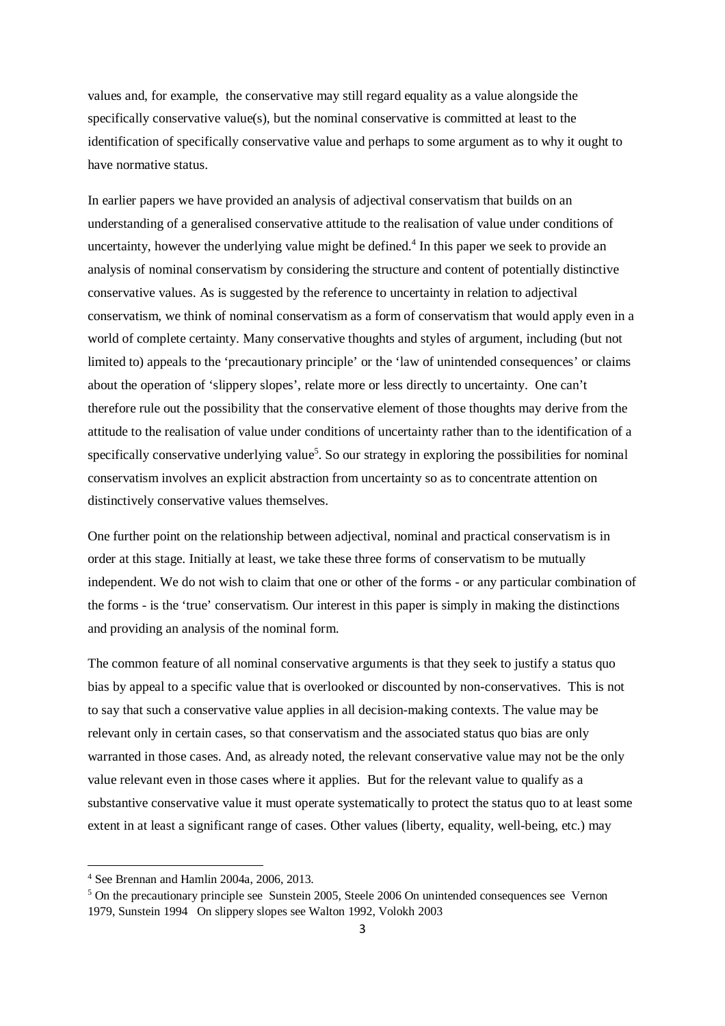values and, for example, the conservative may still regard equality as a value alongside the specifically conservative value(s), but the nominal conservative is committed at least to the identification of specifically conservative value and perhaps to some argument as to why it ought to have normative status.

In earlier papers we have provided an analysis of adjectival conservatism that builds on an understanding of a generalised conservative attitude to the realisation of value under conditions of uncertainty, however the underlying value might be defined.<sup>4</sup> In this paper we seek to provide an analysis of nominal conservatism by considering the structure and content of potentially distinctive conservative values. As is suggested by the reference to uncertainty in relation to adjectival conservatism, we think of nominal conservatism as a form of conservatism that would apply even in a world of complete certainty. Many conservative thoughts and styles of argument, including (but not limited to) appeals to the 'precautionary principle' or the 'law of unintended consequences' or claims about the operation of 'slippery slopes', relate more or less directly to uncertainty. One can't therefore rule out the possibility that the conservative element of those thoughts may derive from the attitude to the realisation of value under conditions of uncertainty rather than to the identification of a specifically conservative underlying value<sup>5</sup>. So our strategy in exploring the possibilities for nominal conservatism involves an explicit abstraction from uncertainty so as to concentrate attention on distinctively conservative values themselves.

One further point on the relationship between adjectival, nominal and practical conservatism is in order at this stage. Initially at least, we take these three forms of conservatism to be mutually independent. We do not wish to claim that one or other of the forms - or any particular combination of the forms - is the 'true' conservatism. Our interest in this paper is simply in making the distinctions and providing an analysis of the nominal form.

The common feature of all nominal conservative arguments is that they seek to justify a status quo bias by appeal to a specific value that is overlooked or discounted by non-conservatives. This is not to say that such a conservative value applies in all decision-making contexts. The value may be relevant only in certain cases, so that conservatism and the associated status quo bias are only warranted in those cases. And, as already noted, the relevant conservative value may not be the only value relevant even in those cases where it applies. But for the relevant value to qualify as a substantive conservative value it must operate systematically to protect the status quo to at least some extent in at least a significant range of cases. Other values (liberty, equality, well-being, etc.) may

<sup>4</sup> See Brennan and Hamlin 2004a, 2006, 2013.

<sup>&</sup>lt;sup>5</sup> On the precautionary principle see Sunstein 2005, Steele 2006 On unintended consequences see Vernon 1979, Sunstein 1994 On slippery slopes see Walton 1992, Volokh 2003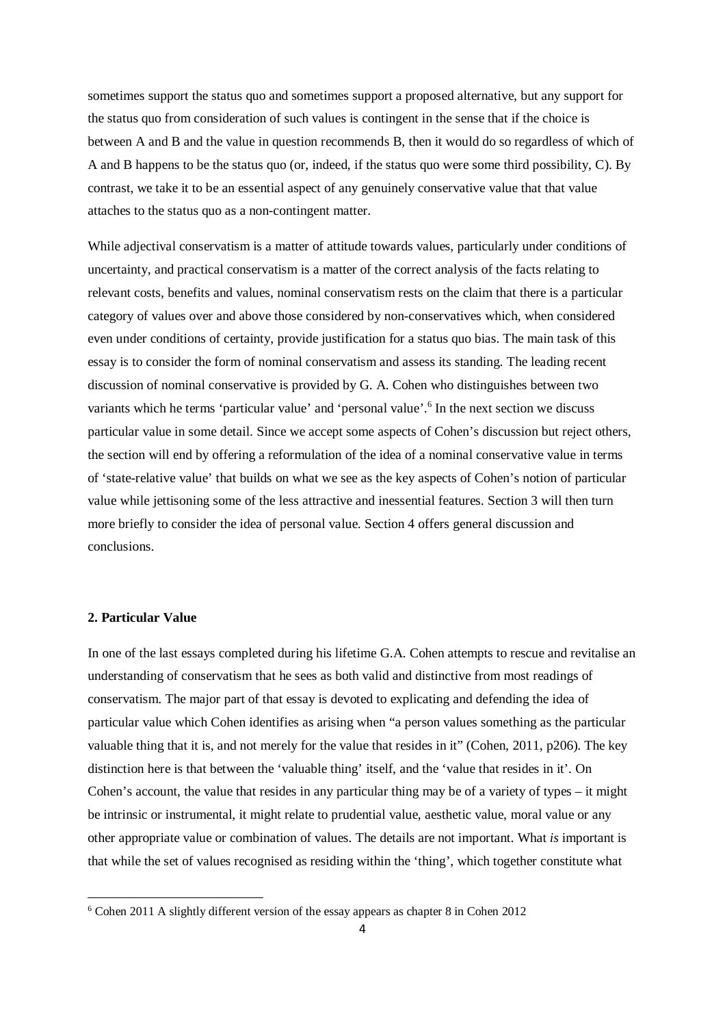sometimes support the status quo and sometimes support a proposed alternative, but any support for the status quo from consideration of such values is contingent in the sense that if the choice is between A and B and the value in question recommends B, then it would do so regardless of which of A and B happens to be the status quo (or, indeed, if the status quo were some third possibility, C). By contrast, we take it to be an essential aspect of any genuinely conservative value that that value attaches to the status quo as a non-contingent matter.

While adjectival conservatism is a matter of attitude towards values, particularly under conditions of uncertainty, and practical conservatism is a matter of the correct analysis of the facts relating to relevant costs, benefits and values, nominal conservatism rests on the claim that there is a particular category of values over and above those considered by non-conservatives which, when considered even under conditions of certainty, provide justification for a status quo bias. The main task of this essay is to consider the form of nominal conservatism and assess its standing. The leading recent discussion of nominal conservative is provided by G. A. Cohen who distinguishes between two variants which he terms 'particular value' and 'personal value'.<sup>6</sup> In the next section we discuss particular value in some detail. Since we accept some aspects of Cohen's discussion but reject others, the section will end by offering a reformulation of the idea of a nominal conservative value in terms of 'state-relative value' that builds on what we see as the key aspects of Cohen's notion of particular value while jettisoning some of the less attractive and inessential features. Section 3 will then turn more briefly to consider the idea of personal value. Section 4 offers general discussion and conclusions.

# **2. Particular Value**

 $\overline{a}$ 

In one of the last essays completed during his lifetime G.A. Cohen attempts to rescue and revitalise an understanding of conservatism that he sees as both valid and distinctive from most readings of conservatism. The major part of that essay is devoted to explicating and defending the idea of particular value which Cohen identifies as arising when "a person values something as the particular valuable thing that it is, and not merely for the value that resides in it" (Cohen, 2011, p206). The key distinction here is that between the 'valuable thing' itself, and the 'value that resides in it'. On Cohen's account, the value that resides in any particular thing may be of a variety of types – it might be intrinsic or instrumental, it might relate to prudential value, aesthetic value, moral value or any other appropriate value or combination of values. The details are not important. What *is* important is that while the set of values recognised as residing within the 'thing', which together constitute what

<sup>6</sup> Cohen 2011 A slightly different version of the essay appears as chapter 8 in Cohen 2012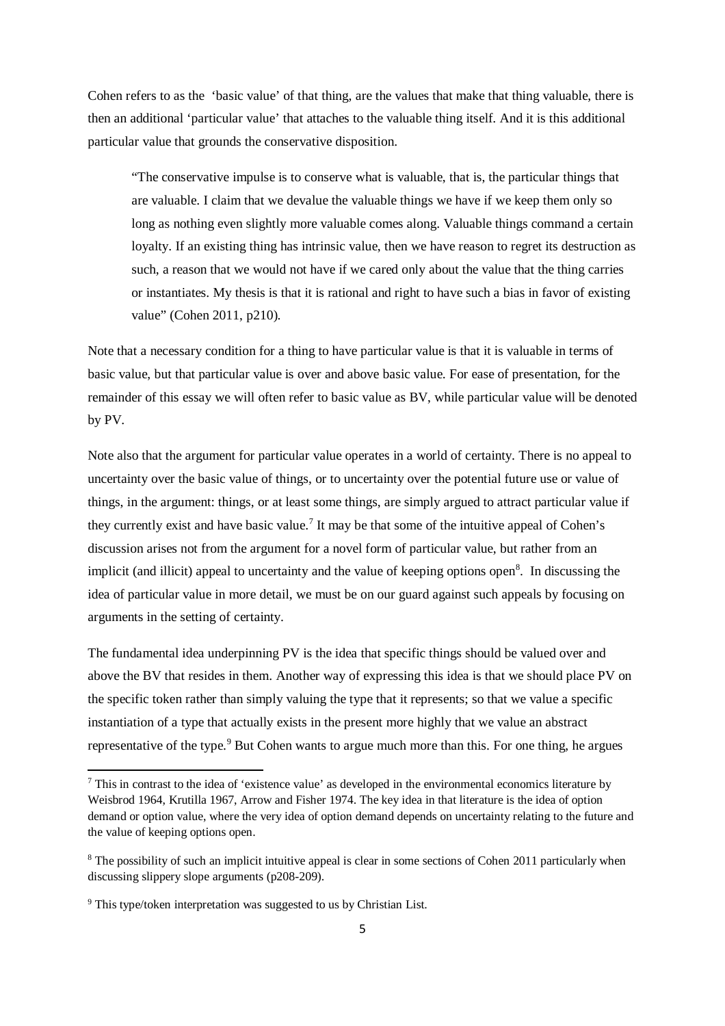Cohen refers to as the 'basic value' of that thing, are the values that make that thing valuable, there is then an additional 'particular value' that attaches to the valuable thing itself. And it is this additional particular value that grounds the conservative disposition.

"The conservative impulse is to conserve what is valuable, that is, the particular things that are valuable. I claim that we devalue the valuable things we have if we keep them only so long as nothing even slightly more valuable comes along. Valuable things command a certain loyalty. If an existing thing has intrinsic value, then we have reason to regret its destruction as such, a reason that we would not have if we cared only about the value that the thing carries or instantiates. My thesis is that it is rational and right to have such a bias in favor of existing value" (Cohen 2011, p210).

Note that a necessary condition for a thing to have particular value is that it is valuable in terms of basic value, but that particular value is over and above basic value. For ease of presentation, for the remainder of this essay we will often refer to basic value as BV, while particular value will be denoted by PV.

Note also that the argument for particular value operates in a world of certainty. There is no appeal to uncertainty over the basic value of things, or to uncertainty over the potential future use or value of things, in the argument: things, or at least some things, are simply argued to attract particular value if they currently exist and have basic value.<sup>7</sup> It may be that some of the intuitive appeal of Cohen's discussion arises not from the argument for a novel form of particular value, but rather from an implicit (and illicit) appeal to uncertainty and the value of keeping options open<sup>8</sup>. In discussing the idea of particular value in more detail, we must be on our guard against such appeals by focusing on arguments in the setting of certainty.

The fundamental idea underpinning PV is the idea that specific things should be valued over and above the BV that resides in them. Another way of expressing this idea is that we should place PV on the specific token rather than simply valuing the type that it represents; so that we value a specific instantiation of a type that actually exists in the present more highly that we value an abstract representative of the type.<sup>9</sup> But Cohen wants to argue much more than this. For one thing, he argues

<sup>&</sup>lt;sup>7</sup> This in contrast to the idea of 'existence value' as developed in the environmental economics literature by Weisbrod 1964, Krutilla 1967, Arrow and Fisher 1974. The key idea in that literature is the idea of option demand or option value, where the very idea of option demand depends on uncertainty relating to the future and the value of keeping options open.

<sup>&</sup>lt;sup>8</sup> The possibility of such an implicit intuitive appeal is clear in some sections of Cohen 2011 particularly when discussing slippery slope arguments (p208-209).

<sup>&</sup>lt;sup>9</sup> This type/token interpretation was suggested to us by Christian List.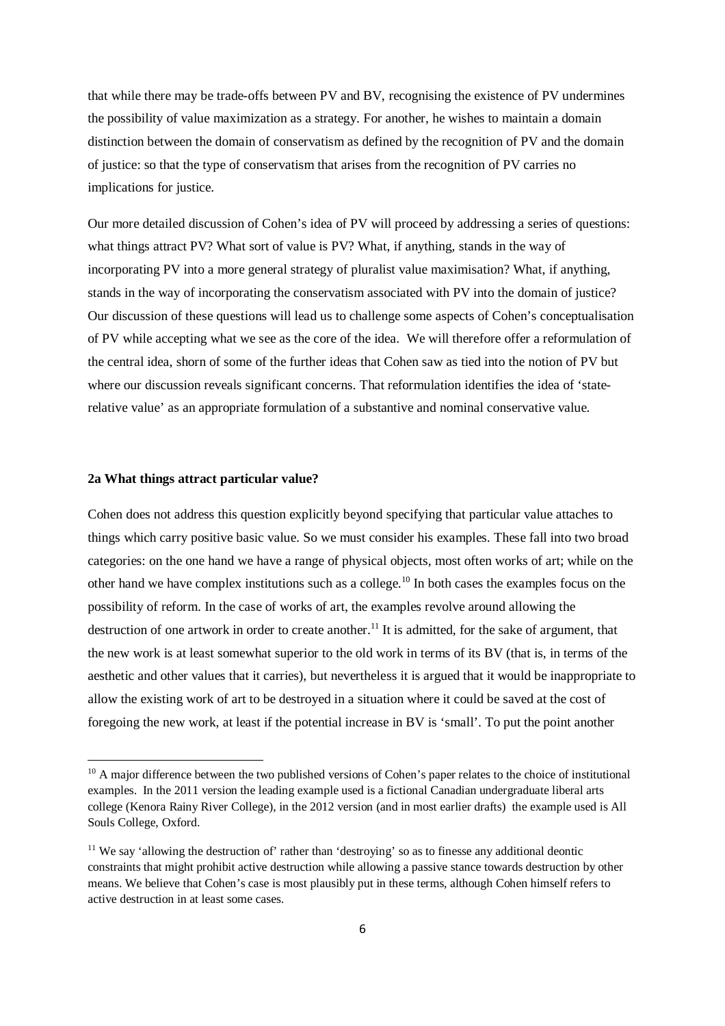that while there may be trade-offs between PV and BV, recognising the existence of PV undermines the possibility of value maximization as a strategy. For another, he wishes to maintain a domain distinction between the domain of conservatism as defined by the recognition of PV and the domain of justice: so that the type of conservatism that arises from the recognition of PV carries no implications for justice.

Our more detailed discussion of Cohen's idea of PV will proceed by addressing a series of questions: what things attract PV? What sort of value is PV? What, if anything, stands in the way of incorporating PV into a more general strategy of pluralist value maximisation? What, if anything, stands in the way of incorporating the conservatism associated with PV into the domain of justice? Our discussion of these questions will lead us to challenge some aspects of Cohen's conceptualisation of PV while accepting what we see as the core of the idea. We will therefore offer a reformulation of the central idea, shorn of some of the further ideas that Cohen saw as tied into the notion of PV but where our discussion reveals significant concerns. That reformulation identifies the idea of 'staterelative value' as an appropriate formulation of a substantive and nominal conservative value.

### **2a What things attract particular value?**

 $\overline{a}$ 

Cohen does not address this question explicitly beyond specifying that particular value attaches to things which carry positive basic value. So we must consider his examples. These fall into two broad categories: on the one hand we have a range of physical objects, most often works of art; while on the other hand we have complex institutions such as a college.<sup>10</sup> In both cases the examples focus on the possibility of reform. In the case of works of art, the examples revolve around allowing the destruction of one artwork in order to create another.<sup>11</sup> It is admitted, for the sake of argument, that the new work is at least somewhat superior to the old work in terms of its BV (that is, in terms of the aesthetic and other values that it carries), but nevertheless it is argued that it would be inappropriate to allow the existing work of art to be destroyed in a situation where it could be saved at the cost of foregoing the new work, at least if the potential increase in BV is 'small'. To put the point another

<sup>&</sup>lt;sup>10</sup> A major difference between the two published versions of Cohen's paper relates to the choice of institutional examples. In the 2011 version the leading example used is a fictional Canadian undergraduate liberal arts college (Kenora Rainy River College), in the 2012 version (and in most earlier drafts) the example used is All Souls College, Oxford.

<sup>&</sup>lt;sup>11</sup> We say 'allowing the destruction of' rather than 'destroying' so as to finesse any additional deontic constraints that might prohibit active destruction while allowing a passive stance towards destruction by other means. We believe that Cohen's case is most plausibly put in these terms, although Cohen himself refers to active destruction in at least some cases.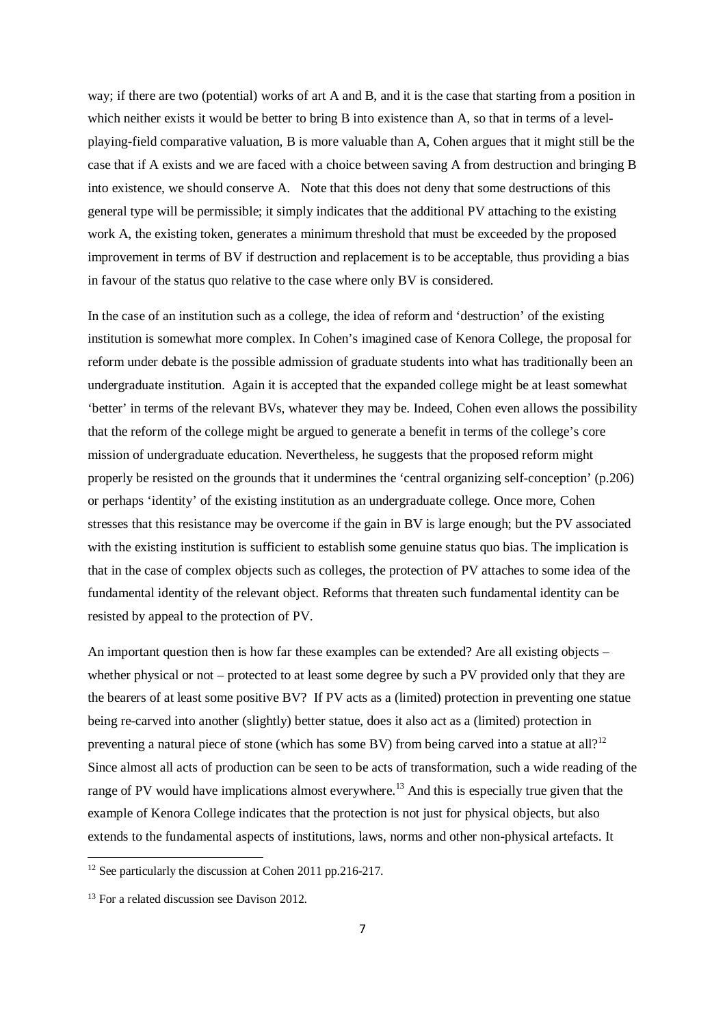way; if there are two (potential) works of art A and B, and it is the case that starting from a position in which neither exists it would be better to bring B into existence than A, so that in terms of a levelplaying-field comparative valuation, B is more valuable than A, Cohen argues that it might still be the case that if A exists and we are faced with a choice between saving A from destruction and bringing B into existence, we should conserve A. Note that this does not deny that some destructions of this general type will be permissible; it simply indicates that the additional PV attaching to the existing work A, the existing token, generates a minimum threshold that must be exceeded by the proposed improvement in terms of BV if destruction and replacement is to be acceptable, thus providing a bias in favour of the status quo relative to the case where only BV is considered.

In the case of an institution such as a college, the idea of reform and 'destruction' of the existing institution is somewhat more complex. In Cohen's imagined case of Kenora College, the proposal for reform under debate is the possible admission of graduate students into what has traditionally been an undergraduate institution. Again it is accepted that the expanded college might be at least somewhat 'better' in terms of the relevant BVs, whatever they may be. Indeed, Cohen even allows the possibility that the reform of the college might be argued to generate a benefit in terms of the college's core mission of undergraduate education. Nevertheless, he suggests that the proposed reform might properly be resisted on the grounds that it undermines the 'central organizing self-conception' (p.206) or perhaps 'identity' of the existing institution as an undergraduate college. Once more, Cohen stresses that this resistance may be overcome if the gain in BV is large enough; but the PV associated with the existing institution is sufficient to establish some genuine status quo bias. The implication is that in the case of complex objects such as colleges, the protection of PV attaches to some idea of the fundamental identity of the relevant object. Reforms that threaten such fundamental identity can be resisted by appeal to the protection of PV.

An important question then is how far these examples can be extended? Are all existing objects – whether physical or not – protected to at least some degree by such a PV provided only that they are the bearers of at least some positive BV? If PV acts as a (limited) protection in preventing one statue being re-carved into another (slightly) better statue, does it also act as a (limited) protection in preventing a natural piece of stone (which has some BV) from being carved into a statue at all?<sup>12</sup> Since almost all acts of production can be seen to be acts of transformation, such a wide reading of the range of PV would have implications almost everywhere.<sup>13</sup> And this is especially true given that the example of Kenora College indicates that the protection is not just for physical objects, but also extends to the fundamental aspects of institutions, laws, norms and other non-physical artefacts. It

<sup>&</sup>lt;sup>12</sup> See particularly the discussion at Cohen 2011 pp.216-217.

<sup>&</sup>lt;sup>13</sup> For a related discussion see Davison 2012.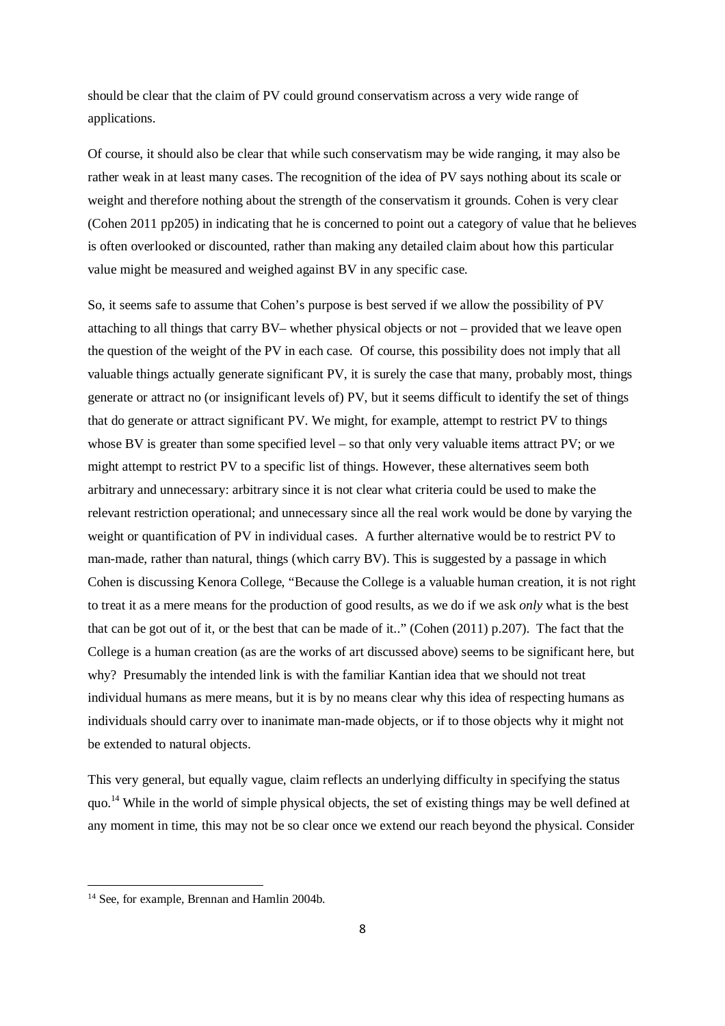should be clear that the claim of PV could ground conservatism across a very wide range of applications.

Of course, it should also be clear that while such conservatism may be wide ranging, it may also be rather weak in at least many cases. The recognition of the idea of PV says nothing about its scale or weight and therefore nothing about the strength of the conservatism it grounds. Cohen is very clear (Cohen 2011 pp205) in indicating that he is concerned to point out a category of value that he believes is often overlooked or discounted, rather than making any detailed claim about how this particular value might be measured and weighed against BV in any specific case.

So, it seems safe to assume that Cohen's purpose is best served if we allow the possibility of PV attaching to all things that carry BV– whether physical objects or not – provided that we leave open the question of the weight of the PV in each case. Of course, this possibility does not imply that all valuable things actually generate significant PV, it is surely the case that many, probably most, things generate or attract no (or insignificant levels of) PV, but it seems difficult to identify the set of things that do generate or attract significant PV. We might, for example, attempt to restrict PV to things whose BV is greater than some specified level – so that only very valuable items attract PV; or we might attempt to restrict PV to a specific list of things. However, these alternatives seem both arbitrary and unnecessary: arbitrary since it is not clear what criteria could be used to make the relevant restriction operational; and unnecessary since all the real work would be done by varying the weight or quantification of PV in individual cases. A further alternative would be to restrict PV to man-made, rather than natural, things (which carry BV). This is suggested by a passage in which Cohen is discussing Kenora College, "Because the College is a valuable human creation, it is not right to treat it as a mere means for the production of good results, as we do if we ask *only* what is the best that can be got out of it, or the best that can be made of it.." (Cohen (2011) p.207). The fact that the College is a human creation (as are the works of art discussed above) seems to be significant here, but why? Presumably the intended link is with the familiar Kantian idea that we should not treat individual humans as mere means, but it is by no means clear why this idea of respecting humans as individuals should carry over to inanimate man-made objects, or if to those objects why it might not be extended to natural objects.

This very general, but equally vague, claim reflects an underlying difficulty in specifying the status quo.<sup>14</sup> While in the world of simple physical objects, the set of existing things may be well defined at any moment in time, this may not be so clear once we extend our reach beyond the physical. Consider

<sup>&</sup>lt;sup>14</sup> See, for example, Brennan and Hamlin 2004b.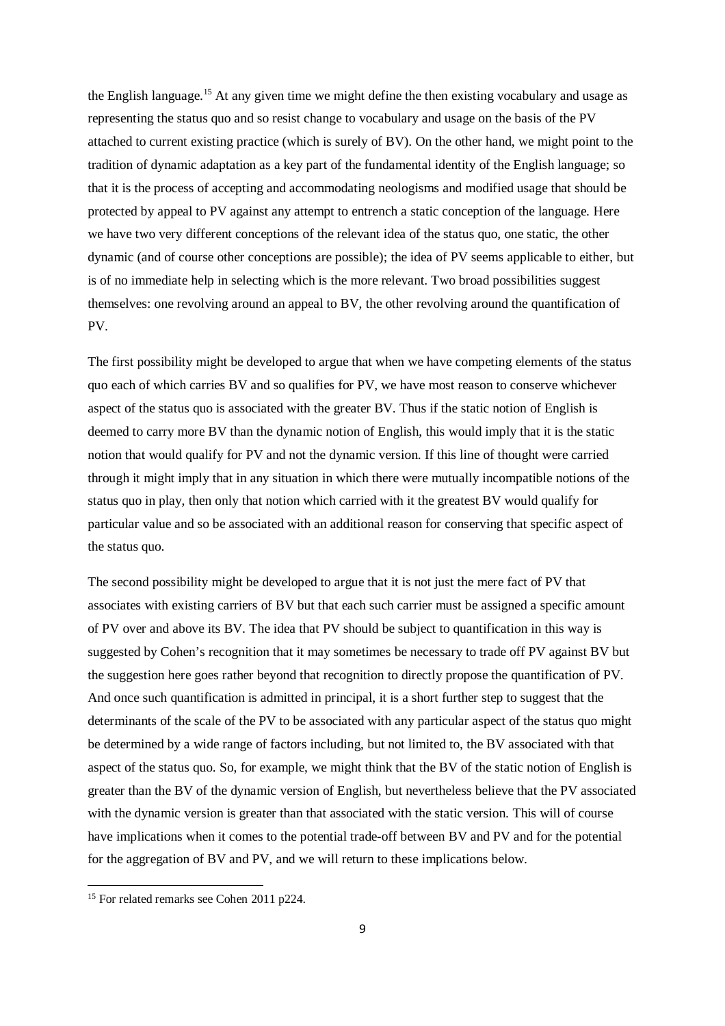the English language.<sup>15</sup> At any given time we might define the then existing vocabulary and usage as representing the status quo and so resist change to vocabulary and usage on the basis of the PV attached to current existing practice (which is surely of BV). On the other hand, we might point to the tradition of dynamic adaptation as a key part of the fundamental identity of the English language; so that it is the process of accepting and accommodating neologisms and modified usage that should be protected by appeal to PV against any attempt to entrench a static conception of the language. Here we have two very different conceptions of the relevant idea of the status quo, one static, the other dynamic (and of course other conceptions are possible); the idea of PV seems applicable to either, but is of no immediate help in selecting which is the more relevant. Two broad possibilities suggest themselves: one revolving around an appeal to BV, the other revolving around the quantification of PV.

The first possibility might be developed to argue that when we have competing elements of the status quo each of which carries BV and so qualifies for PV, we have most reason to conserve whichever aspect of the status quo is associated with the greater BV. Thus if the static notion of English is deemed to carry more BV than the dynamic notion of English, this would imply that it is the static notion that would qualify for PV and not the dynamic version. If this line of thought were carried through it might imply that in any situation in which there were mutually incompatible notions of the status quo in play, then only that notion which carried with it the greatest BV would qualify for particular value and so be associated with an additional reason for conserving that specific aspect of the status quo.

The second possibility might be developed to argue that it is not just the mere fact of PV that associates with existing carriers of BV but that each such carrier must be assigned a specific amount of PV over and above its BV. The idea that PV should be subject to quantification in this way is suggested by Cohen's recognition that it may sometimes be necessary to trade off PV against BV but the suggestion here goes rather beyond that recognition to directly propose the quantification of PV. And once such quantification is admitted in principal, it is a short further step to suggest that the determinants of the scale of the PV to be associated with any particular aspect of the status quo might be determined by a wide range of factors including, but not limited to, the BV associated with that aspect of the status quo. So, for example, we might think that the BV of the static notion of English is greater than the BV of the dynamic version of English, but nevertheless believe that the PV associated with the dynamic version is greater than that associated with the static version. This will of course have implications when it comes to the potential trade-off between BV and PV and for the potential for the aggregation of BV and PV, and we will return to these implications below.

<sup>&</sup>lt;sup>15</sup> For related remarks see Cohen 2011 p224.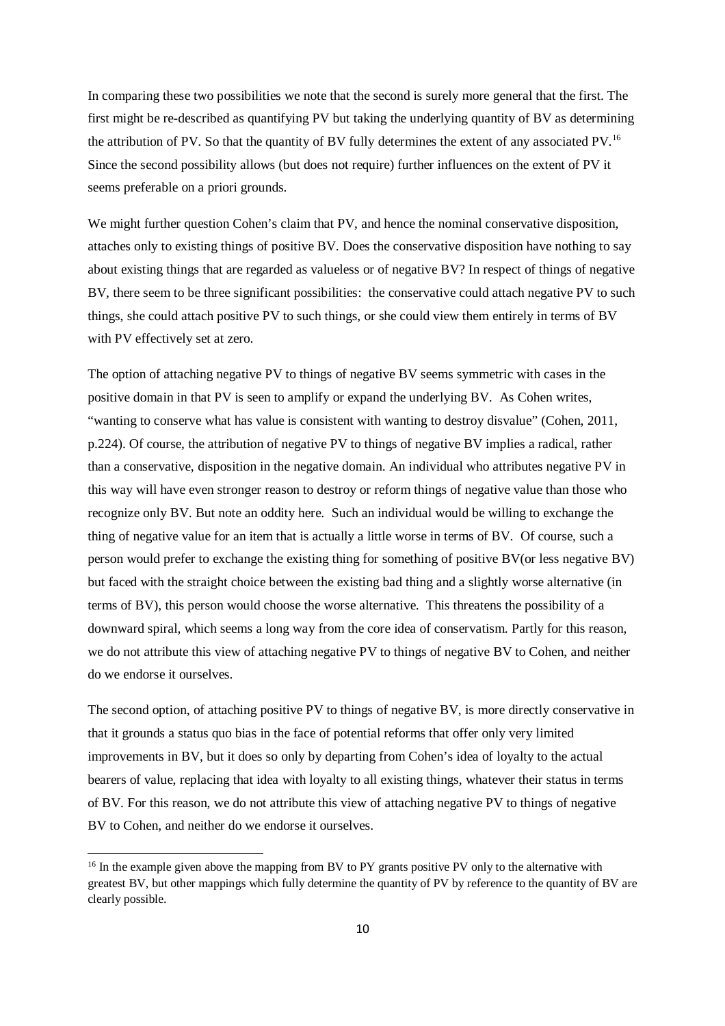In comparing these two possibilities we note that the second is surely more general that the first. The first might be re-described as quantifying PV but taking the underlying quantity of BV as determining the attribution of PV. So that the quantity of BV fully determines the extent of any associated PV.<sup>16</sup> Since the second possibility allows (but does not require) further influences on the extent of PV it seems preferable on a priori grounds.

We might further question Cohen's claim that PV, and hence the nominal conservative disposition, attaches only to existing things of positive BV. Does the conservative disposition have nothing to say about existing things that are regarded as valueless or of negative BV? In respect of things of negative BV, there seem to be three significant possibilities: the conservative could attach negative PV to such things, she could attach positive PV to such things, or she could view them entirely in terms of BV with PV effectively set at zero.

The option of attaching negative PV to things of negative BV seems symmetric with cases in the positive domain in that PV is seen to amplify or expand the underlying BV. As Cohen writes, "wanting to conserve what has value is consistent with wanting to destroy disvalue" (Cohen, 2011, p.224). Of course, the attribution of negative PV to things of negative BV implies a radical, rather than a conservative, disposition in the negative domain. An individual who attributes negative PV in this way will have even stronger reason to destroy or reform things of negative value than those who recognize only BV. But note an oddity here. Such an individual would be willing to exchange the thing of negative value for an item that is actually a little worse in terms of BV. Of course, such a person would prefer to exchange the existing thing for something of positive BV(or less negative BV) but faced with the straight choice between the existing bad thing and a slightly worse alternative (in terms of BV), this person would choose the worse alternative. This threatens the possibility of a downward spiral, which seems a long way from the core idea of conservatism. Partly for this reason, we do not attribute this view of attaching negative PV to things of negative BV to Cohen, and neither do we endorse it ourselves.

The second option, of attaching positive PV to things of negative BV, is more directly conservative in that it grounds a status quo bias in the face of potential reforms that offer only very limited improvements in BV, but it does so only by departing from Cohen's idea of loyalty to the actual bearers of value, replacing that idea with loyalty to all existing things, whatever their status in terms of BV. For this reason, we do not attribute this view of attaching negative PV to things of negative BV to Cohen, and neither do we endorse it ourselves.

<sup>&</sup>lt;sup>16</sup> In the example given above the mapping from BV to PY grants positive PV only to the alternative with greatest BV, but other mappings which fully determine the quantity of PV by reference to the quantity of BV are clearly possible.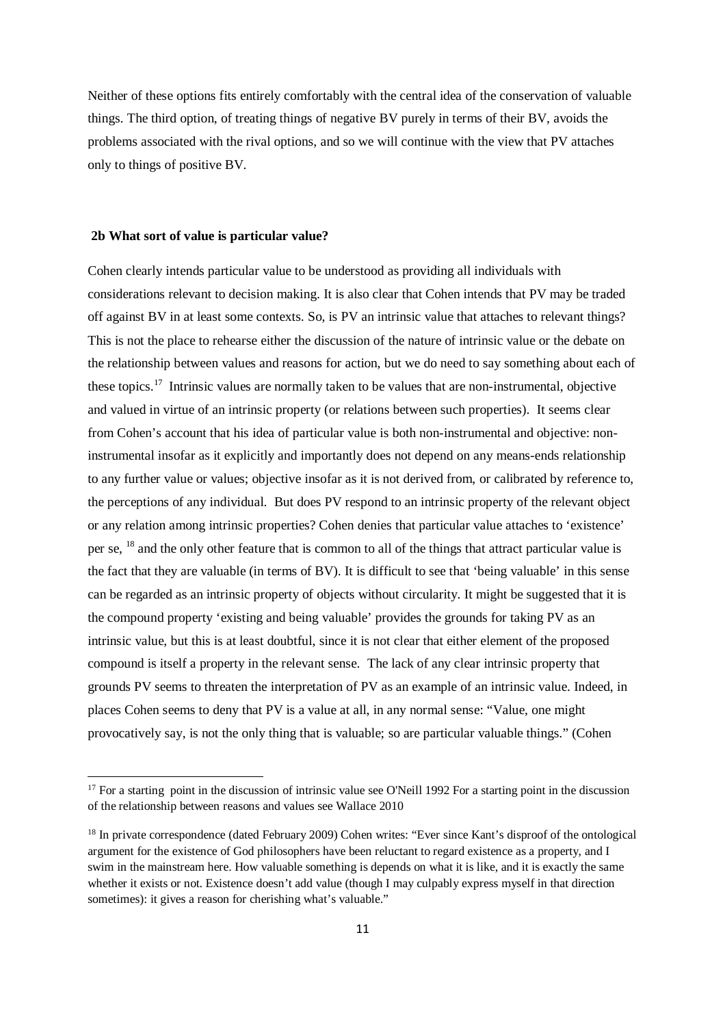Neither of these options fits entirely comfortably with the central idea of the conservation of valuable things. The third option, of treating things of negative BV purely in terms of their BV, avoids the problems associated with the rival options, and so we will continue with the view that PV attaches only to things of positive BV.

#### **2b What sort of value is particular value?**

 $\overline{a}$ 

Cohen clearly intends particular value to be understood as providing all individuals with considerations relevant to decision making. It is also clear that Cohen intends that PV may be traded off against BV in at least some contexts. So, is PV an intrinsic value that attaches to relevant things? This is not the place to rehearse either the discussion of the nature of intrinsic value or the debate on the relationship between values and reasons for action, but we do need to say something about each of these topics.<sup>17</sup> Intrinsic values are normally taken to be values that are non-instrumental, objective and valued in virtue of an intrinsic property (or relations between such properties). It seems clear from Cohen's account that his idea of particular value is both non-instrumental and objective: noninstrumental insofar as it explicitly and importantly does not depend on any means-ends relationship to any further value or values; objective insofar as it is not derived from, or calibrated by reference to, the perceptions of any individual. But does PV respond to an intrinsic property of the relevant object or any relation among intrinsic properties? Cohen denies that particular value attaches to 'existence' per se, <sup>18</sup> and the only other feature that is common to all of the things that attract particular value is the fact that they are valuable (in terms of BV). It is difficult to see that 'being valuable' in this sense can be regarded as an intrinsic property of objects without circularity. It might be suggested that it is the compound property 'existing and being valuable' provides the grounds for taking PV as an intrinsic value, but this is at least doubtful, since it is not clear that either element of the proposed compound is itself a property in the relevant sense. The lack of any clear intrinsic property that grounds PV seems to threaten the interpretation of PV as an example of an intrinsic value. Indeed, in places Cohen seems to deny that PV is a value at all, in any normal sense: "Value, one might provocatively say, is not the only thing that is valuable; so are particular valuable things." (Cohen

<sup>&</sup>lt;sup>17</sup> For a starting point in the discussion of intrinsic value see O'Neill 1992 For a starting point in the discussion of the relationship between reasons and values see Wallace 2010

<sup>&</sup>lt;sup>18</sup> In private correspondence (dated February 2009) Cohen writes: "Ever since Kant's disproof of the ontological argument for the existence of God philosophers have been reluctant to regard existence as a property, and I swim in the mainstream here. How valuable something is depends on what it is like, and it is exactly the same whether it exists or not. Existence doesn't add value (though I may culpably express myself in that direction sometimes): it gives a reason for cherishing what's valuable."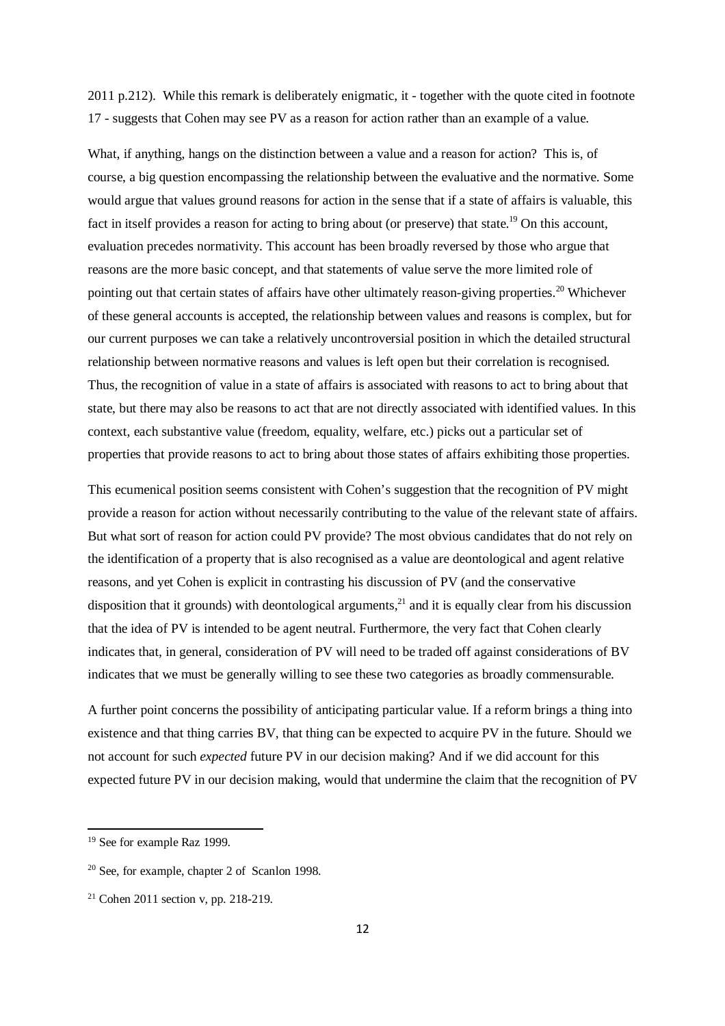2011 p.212). While this remark is deliberately enigmatic, it - together with the quote cited in footnote 17 - suggests that Cohen may see PV as a reason for action rather than an example of a value.

What, if anything, hangs on the distinction between a value and a reason for action? This is, of course, a big question encompassing the relationship between the evaluative and the normative. Some would argue that values ground reasons for action in the sense that if a state of affairs is valuable, this fact in itself provides a reason for acting to bring about (or preserve) that state.<sup>19</sup> On this account, evaluation precedes normativity. This account has been broadly reversed by those who argue that reasons are the more basic concept, and that statements of value serve the more limited role of pointing out that certain states of affairs have other ultimately reason-giving properties.<sup>20</sup> Whichever of these general accounts is accepted, the relationship between values and reasons is complex, but for our current purposes we can take a relatively uncontroversial position in which the detailed structural relationship between normative reasons and values is left open but their correlation is recognised. Thus, the recognition of value in a state of affairs is associated with reasons to act to bring about that state, but there may also be reasons to act that are not directly associated with identified values. In this context, each substantive value (freedom, equality, welfare, etc.) picks out a particular set of properties that provide reasons to act to bring about those states of affairs exhibiting those properties.

This ecumenical position seems consistent with Cohen's suggestion that the recognition of PV might provide a reason for action without necessarily contributing to the value of the relevant state of affairs. But what sort of reason for action could PV provide? The most obvious candidates that do not rely on the identification of a property that is also recognised as a value are deontological and agent relative reasons, and yet Cohen is explicit in contrasting his discussion of PV (and the conservative disposition that it grounds) with deontological arguments, $^{21}$  and it is equally clear from his discussion that the idea of PV is intended to be agent neutral. Furthermore, the very fact that Cohen clearly indicates that, in general, consideration of PV will need to be traded off against considerations of BV indicates that we must be generally willing to see these two categories as broadly commensurable.

A further point concerns the possibility of anticipating particular value. If a reform brings a thing into existence and that thing carries BV, that thing can be expected to acquire PV in the future. Should we not account for such *expected* future PV in our decision making? And if we did account for this expected future PV in our decision making, would that undermine the claim that the recognition of PV

<sup>&</sup>lt;sup>19</sup> See for example Raz 1999.

<sup>20</sup> See, for example, chapter 2 of Scanlon 1998.

<sup>&</sup>lt;sup>21</sup> Cohen 2011 section v, pp. 218-219.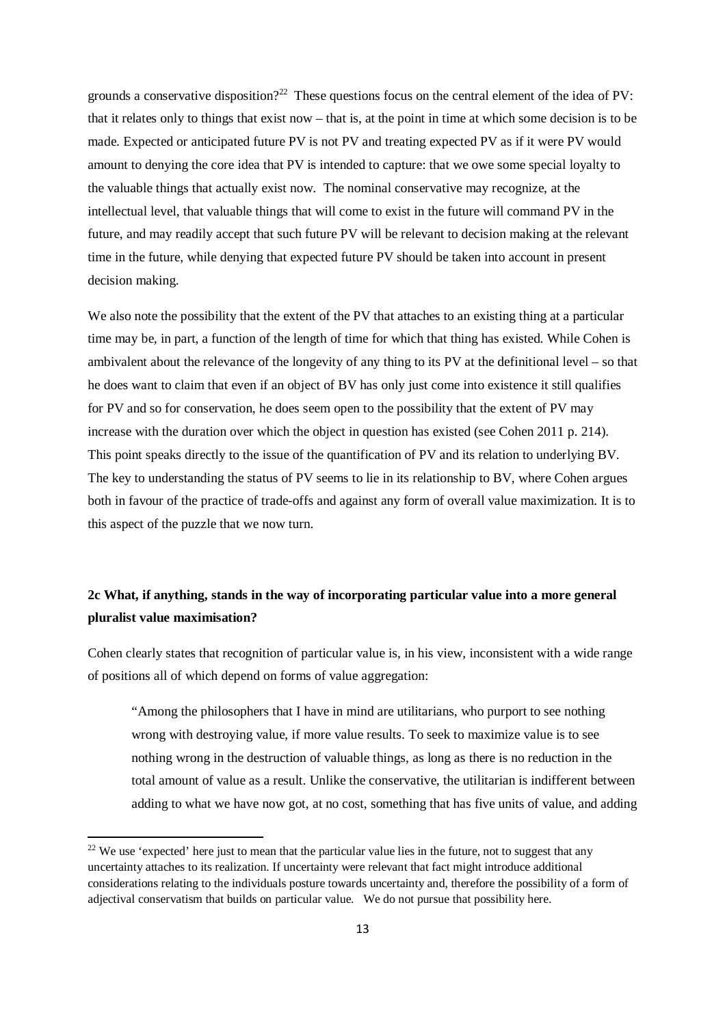grounds a conservative disposition?<sup>22</sup> These questions focus on the central element of the idea of PV: that it relates only to things that exist now – that is, at the point in time at which some decision is to be made. Expected or anticipated future PV is not PV and treating expected PV as if it were PV would amount to denying the core idea that PV is intended to capture: that we owe some special loyalty to the valuable things that actually exist now. The nominal conservative may recognize, at the intellectual level, that valuable things that will come to exist in the future will command PV in the future, and may readily accept that such future PV will be relevant to decision making at the relevant time in the future, while denying that expected future PV should be taken into account in present decision making.

We also note the possibility that the extent of the PV that attaches to an existing thing at a particular time may be, in part, a function of the length of time for which that thing has existed. While Cohen is ambivalent about the relevance of the longevity of any thing to its PV at the definitional level – so that he does want to claim that even if an object of BV has only just come into existence it still qualifies for PV and so for conservation, he does seem open to the possibility that the extent of PV may increase with the duration over which the object in question has existed (see Cohen 2011 p. 214). This point speaks directly to the issue of the quantification of PV and its relation to underlying BV. The key to understanding the status of PV seems to lie in its relationship to BV, where Cohen argues both in favour of the practice of trade-offs and against any form of overall value maximization. It is to this aspect of the puzzle that we now turn.

# **2c What, if anything, stands in the way of incorporating particular value into a more general pluralist value maximisation?**

Cohen clearly states that recognition of particular value is, in his view, inconsistent with a wide range of positions all of which depend on forms of value aggregation:

"Among the philosophers that I have in mind are utilitarians, who purport to see nothing wrong with destroying value, if more value results. To seek to maximize value is to see nothing wrong in the destruction of valuable things, as long as there is no reduction in the total amount of value as a result. Unlike the conservative, the utilitarian is indifferent between adding to what we have now got, at no cost, something that has five units of value, and adding

<sup>&</sup>lt;sup>22</sup> We use 'expected' here just to mean that the particular value lies in the future, not to suggest that any uncertainty attaches to its realization. If uncertainty were relevant that fact might introduce additional considerations relating to the individuals posture towards uncertainty and, therefore the possibility of a form of adjectival conservatism that builds on particular value. We do not pursue that possibility here.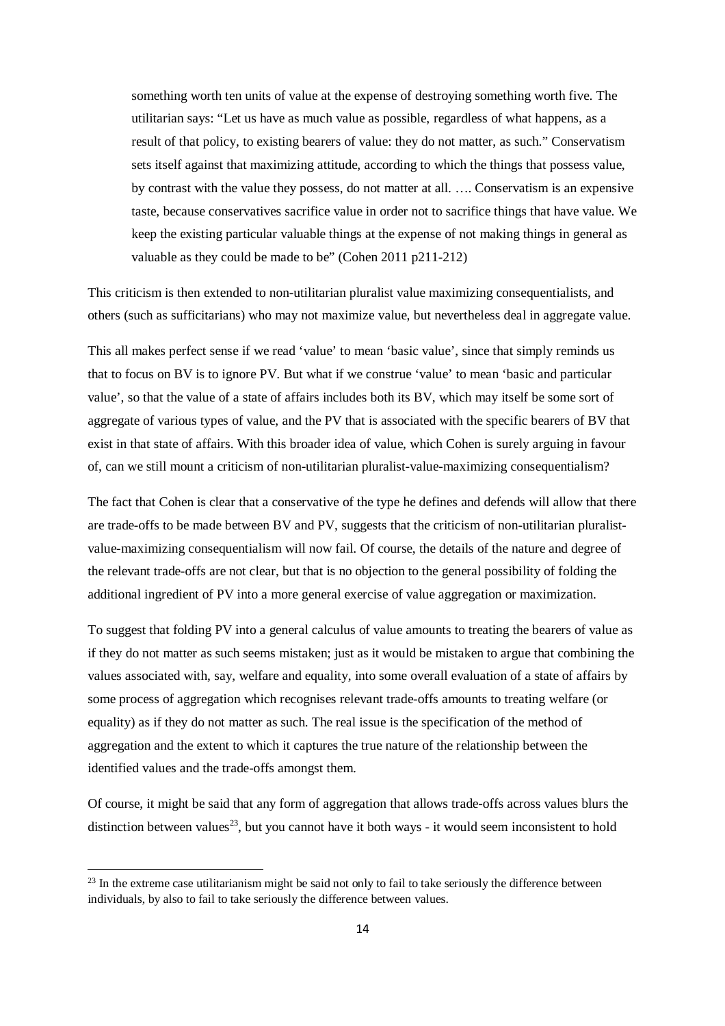something worth ten units of value at the expense of destroying something worth five. The utilitarian says: "Let us have as much value as possible, regardless of what happens, as a result of that policy, to existing bearers of value: they do not matter, as such." Conservatism sets itself against that maximizing attitude, according to which the things that possess value, by contrast with the value they possess, do not matter at all. …. Conservatism is an expensive taste, because conservatives sacrifice value in order not to sacrifice things that have value. We keep the existing particular valuable things at the expense of not making things in general as valuable as they could be made to be" (Cohen 2011 p211-212)

This criticism is then extended to non-utilitarian pluralist value maximizing consequentialists, and others (such as sufficitarians) who may not maximize value, but nevertheless deal in aggregate value.

This all makes perfect sense if we read 'value' to mean 'basic value', since that simply reminds us that to focus on BV is to ignore PV. But what if we construe 'value' to mean 'basic and particular value', so that the value of a state of affairs includes both its BV, which may itself be some sort of aggregate of various types of value, and the PV that is associated with the specific bearers of BV that exist in that state of affairs. With this broader idea of value, which Cohen is surely arguing in favour of, can we still mount a criticism of non-utilitarian pluralist-value-maximizing consequentialism?

The fact that Cohen is clear that a conservative of the type he defines and defends will allow that there are trade-offs to be made between BV and PV, suggests that the criticism of non-utilitarian pluralistvalue-maximizing consequentialism will now fail. Of course, the details of the nature and degree of the relevant trade-offs are not clear, but that is no objection to the general possibility of folding the additional ingredient of PV into a more general exercise of value aggregation or maximization.

To suggest that folding PV into a general calculus of value amounts to treating the bearers of value as if they do not matter as such seems mistaken; just as it would be mistaken to argue that combining the values associated with, say, welfare and equality, into some overall evaluation of a state of affairs by some process of aggregation which recognises relevant trade-offs amounts to treating welfare (or equality) as if they do not matter as such. The real issue is the specification of the method of aggregation and the extent to which it captures the true nature of the relationship between the identified values and the trade-offs amongst them.

Of course, it might be said that any form of aggregation that allows trade-offs across values blurs the distinction between values<sup>23</sup>, but you cannot have it both ways - it would seem inconsistent to hold

<sup>&</sup>lt;sup>23</sup> In the extreme case utilitarianism might be said not only to fail to take seriously the difference between individuals, by also to fail to take seriously the difference between values.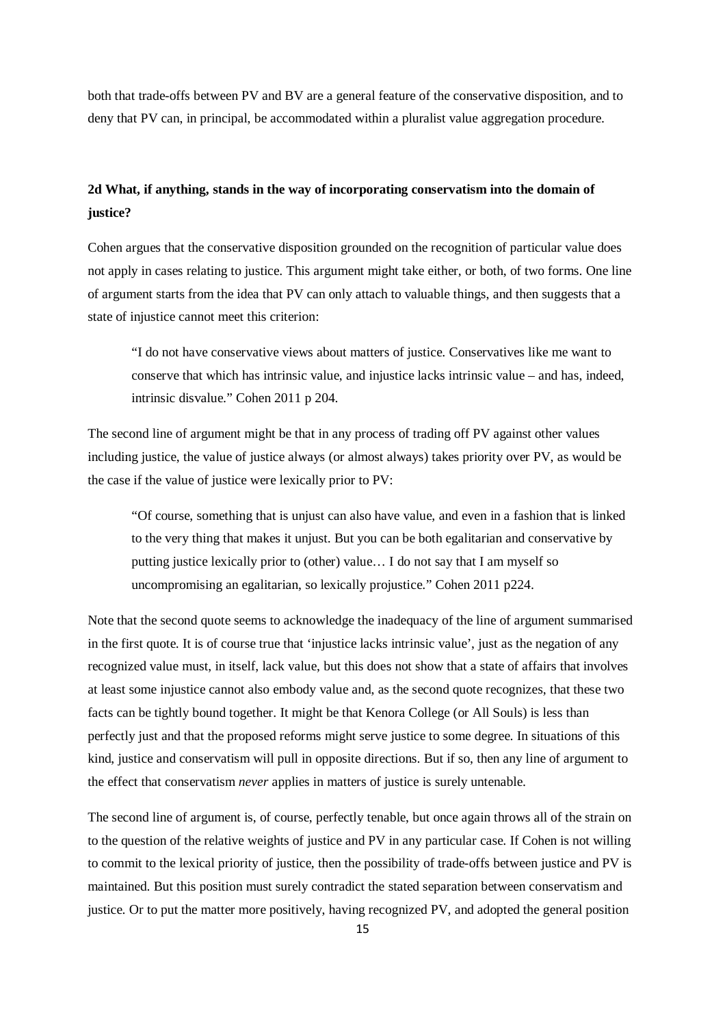both that trade-offs between PV and BV are a general feature of the conservative disposition, and to deny that PV can, in principal, be accommodated within a pluralist value aggregation procedure.

# **2d What, if anything, stands in the way of incorporating conservatism into the domain of justice?**

Cohen argues that the conservative disposition grounded on the recognition of particular value does not apply in cases relating to justice. This argument might take either, or both, of two forms. One line of argument starts from the idea that PV can only attach to valuable things, and then suggests that a state of injustice cannot meet this criterion:

"I do not have conservative views about matters of justice. Conservatives like me want to conserve that which has intrinsic value, and injustice lacks intrinsic value – and has, indeed, intrinsic disvalue." Cohen 2011 p 204.

The second line of argument might be that in any process of trading off PV against other values including justice, the value of justice always (or almost always) takes priority over PV, as would be the case if the value of justice were lexically prior to PV:

"Of course, something that is unjust can also have value, and even in a fashion that is linked to the very thing that makes it unjust. But you can be both egalitarian and conservative by putting justice lexically prior to (other) value… I do not say that I am myself so uncompromising an egalitarian, so lexically projustice." Cohen 2011 p224.

Note that the second quote seems to acknowledge the inadequacy of the line of argument summarised in the first quote. It is of course true that 'injustice lacks intrinsic value', just as the negation of any recognized value must, in itself, lack value, but this does not show that a state of affairs that involves at least some injustice cannot also embody value and, as the second quote recognizes, that these two facts can be tightly bound together. It might be that Kenora College (or All Souls) is less than perfectly just and that the proposed reforms might serve justice to some degree. In situations of this kind, justice and conservatism will pull in opposite directions. But if so, then any line of argument to the effect that conservatism *never* applies in matters of justice is surely untenable.

The second line of argument is, of course, perfectly tenable, but once again throws all of the strain on to the question of the relative weights of justice and PV in any particular case. If Cohen is not willing to commit to the lexical priority of justice, then the possibility of trade-offs between justice and PV is maintained. But this position must surely contradict the stated separation between conservatism and justice. Or to put the matter more positively, having recognized PV, and adopted the general position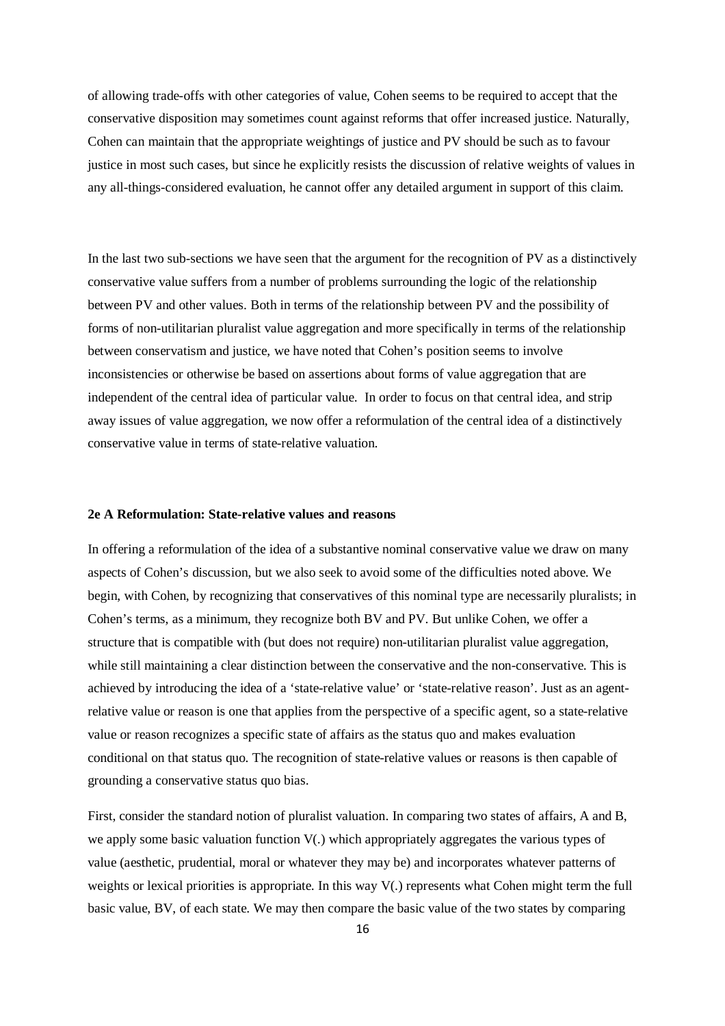of allowing trade-offs with other categories of value, Cohen seems to be required to accept that the conservative disposition may sometimes count against reforms that offer increased justice. Naturally, Cohen can maintain that the appropriate weightings of justice and PV should be such as to favour justice in most such cases, but since he explicitly resists the discussion of relative weights of values in any all-things-considered evaluation, he cannot offer any detailed argument in support of this claim.

In the last two sub-sections we have seen that the argument for the recognition of PV as a distinctively conservative value suffers from a number of problems surrounding the logic of the relationship between PV and other values. Both in terms of the relationship between PV and the possibility of forms of non-utilitarian pluralist value aggregation and more specifically in terms of the relationship between conservatism and justice, we have noted that Cohen's position seems to involve inconsistencies or otherwise be based on assertions about forms of value aggregation that are independent of the central idea of particular value. In order to focus on that central idea, and strip away issues of value aggregation, we now offer a reformulation of the central idea of a distinctively conservative value in terms of state-relative valuation.

# **2e A Reformulation: State-relative values and reasons**

In offering a reformulation of the idea of a substantive nominal conservative value we draw on many aspects of Cohen's discussion, but we also seek to avoid some of the difficulties noted above. We begin, with Cohen, by recognizing that conservatives of this nominal type are necessarily pluralists; in Cohen's terms, as a minimum, they recognize both BV and PV. But unlike Cohen, we offer a structure that is compatible with (but does not require) non-utilitarian pluralist value aggregation, while still maintaining a clear distinction between the conservative and the non-conservative. This is achieved by introducing the idea of a 'state-relative value' or 'state-relative reason'. Just as an agentrelative value or reason is one that applies from the perspective of a specific agent, so a state-relative value or reason recognizes a specific state of affairs as the status quo and makes evaluation conditional on that status quo. The recognition of state-relative values or reasons is then capable of grounding a conservative status quo bias.

First, consider the standard notion of pluralist valuation. In comparing two states of affairs, A and B, we apply some basic valuation function V(.) which appropriately aggregates the various types of value (aesthetic, prudential, moral or whatever they may be) and incorporates whatever patterns of weights or lexical priorities is appropriate. In this way V(.) represents what Cohen might term the full basic value, BV, of each state. We may then compare the basic value of the two states by comparing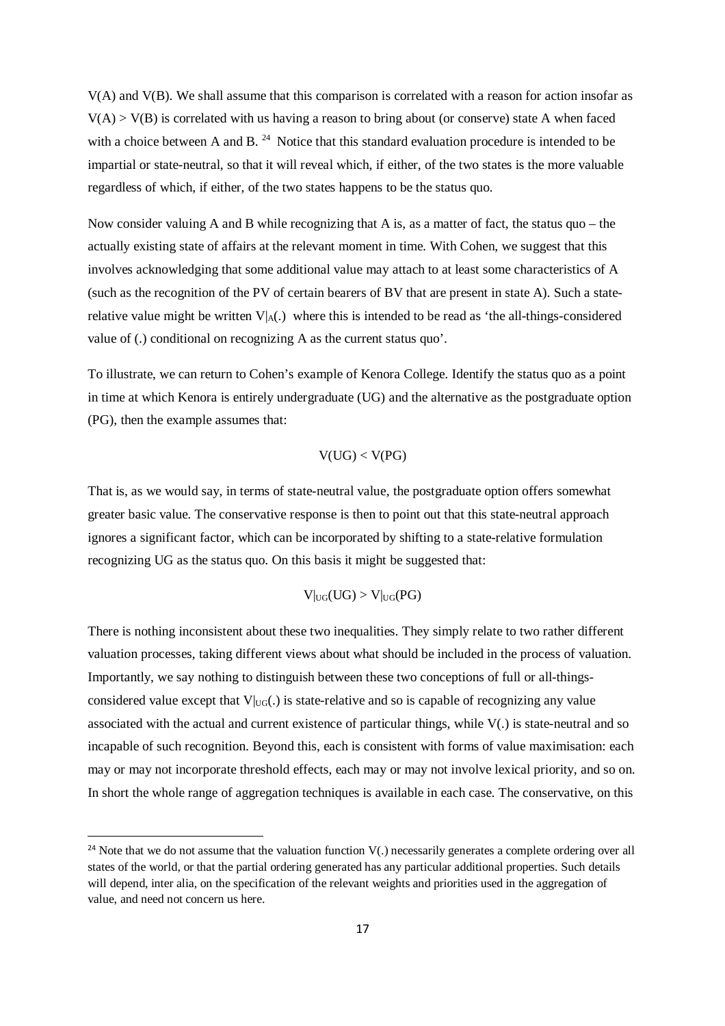V(A) and V(B). We shall assume that this comparison is correlated with a reason for action insofar as  $V(A) > V(B)$  is correlated with us having a reason to bring about (or conserve) state A when faced with a choice between A and B.  $^{24}$  Notice that this standard evaluation procedure is intended to be impartial or state-neutral, so that it will reveal which, if either, of the two states is the more valuable regardless of which, if either, of the two states happens to be the status quo.

Now consider valuing A and B while recognizing that A is, as a matter of fact, the status quo – the actually existing state of affairs at the relevant moment in time. With Cohen, we suggest that this involves acknowledging that some additional value may attach to at least some characteristics of A (such as the recognition of the PV of certain bearers of BV that are present in state A). Such a staterelative value might be written  $V_A(.)$  where this is intended to be read as 'the all-things-considered value of (.) conditional on recognizing A as the current status quo'.

To illustrate, we can return to Cohen's example of Kenora College. Identify the status quo as a point in time at which Kenora is entirely undergraduate (UG) and the alternative as the postgraduate option (PG), then the example assumes that:

# $V(UG) < V(PG)$

That is, as we would say, in terms of state-neutral value, the postgraduate option offers somewhat greater basic value. The conservative response is then to point out that this state-neutral approach ignores a significant factor, which can be incorporated by shifting to a state-relative formulation recognizing UG as the status quo. On this basis it might be suggested that:

$$
V|_{\text{UG}}(UG) > V|_{\text{UG}}(PG)
$$

There is nothing inconsistent about these two inequalities. They simply relate to two rather different valuation processes, taking different views about what should be included in the process of valuation. Importantly, we say nothing to distinguish between these two conceptions of full or all-thingsconsidered value except that  $V|_{UG}$ . is state-relative and so is capable of recognizing any value associated with the actual and current existence of particular things, while V(.) is state-neutral and so incapable of such recognition. Beyond this, each is consistent with forms of value maximisation: each may or may not incorporate threshold effects, each may or may not involve lexical priority, and so on. In short the whole range of aggregation techniques is available in each case. The conservative, on this

<sup>&</sup>lt;sup>24</sup> Note that we do not assume that the valuation function  $V(.)$  necessarily generates a complete ordering over all states of the world, or that the partial ordering generated has any particular additional properties. Such details will depend, inter alia, on the specification of the relevant weights and priorities used in the aggregation of value, and need not concern us here.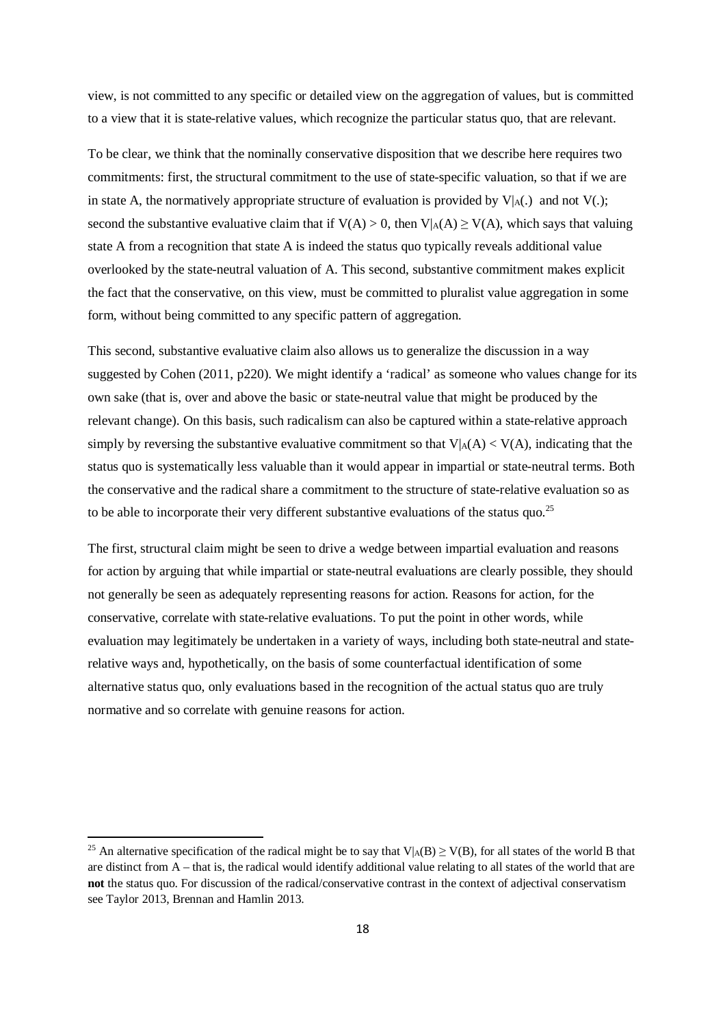view, is not committed to any specific or detailed view on the aggregation of values, but is committed to a view that it is state-relative values, which recognize the particular status quo, that are relevant.

To be clear, we think that the nominally conservative disposition that we describe here requires two commitments: first, the structural commitment to the use of state-specific valuation, so that if we are in state A, the normatively appropriate structure of evaluation is provided by  $V|_{A}$ .) and not  $V(.)$ ; second the substantive evaluative claim that if  $V(A) > 0$ , then  $V|_A(A) \ge V(A)$ , which says that valuing state A from a recognition that state A is indeed the status quo typically reveals additional value overlooked by the state-neutral valuation of A. This second, substantive commitment makes explicit the fact that the conservative, on this view, must be committed to pluralist value aggregation in some form, without being committed to any specific pattern of aggregation.

This second, substantive evaluative claim also allows us to generalize the discussion in a way suggested by Cohen (2011, p220). We might identify a 'radical' as someone who values change for its own sake (that is, over and above the basic or state-neutral value that might be produced by the relevant change). On this basis, such radicalism can also be captured within a state-relative approach simply by reversing the substantive evaluative commitment so that  $V|_A(A) < V(A)$ , indicating that the status quo is systematically less valuable than it would appear in impartial or state-neutral terms. Both the conservative and the radical share a commitment to the structure of state-relative evaluation so as to be able to incorporate their very different substantive evaluations of the status quo.<sup>25</sup>

The first, structural claim might be seen to drive a wedge between impartial evaluation and reasons for action by arguing that while impartial or state-neutral evaluations are clearly possible, they should not generally be seen as adequately representing reasons for action. Reasons for action, for the conservative, correlate with state-relative evaluations. To put the point in other words, while evaluation may legitimately be undertaken in a variety of ways, including both state-neutral and staterelative ways and, hypothetically, on the basis of some counterfactual identification of some alternative status quo, only evaluations based in the recognition of the actual status quo are truly normative and so correlate with genuine reasons for action.

<sup>&</sup>lt;sup>25</sup> An alternative specification of the radical might be to say that V|<sub>A</sub>(B)  $\geq$  V(B), for all states of the world B that are distinct from A – that is, the radical would identify additional value relating to all states of the world that are **not** the status quo. For discussion of the radical/conservative contrast in the context of adjectival conservatism see Taylor 2013, Brennan and Hamlin 2013.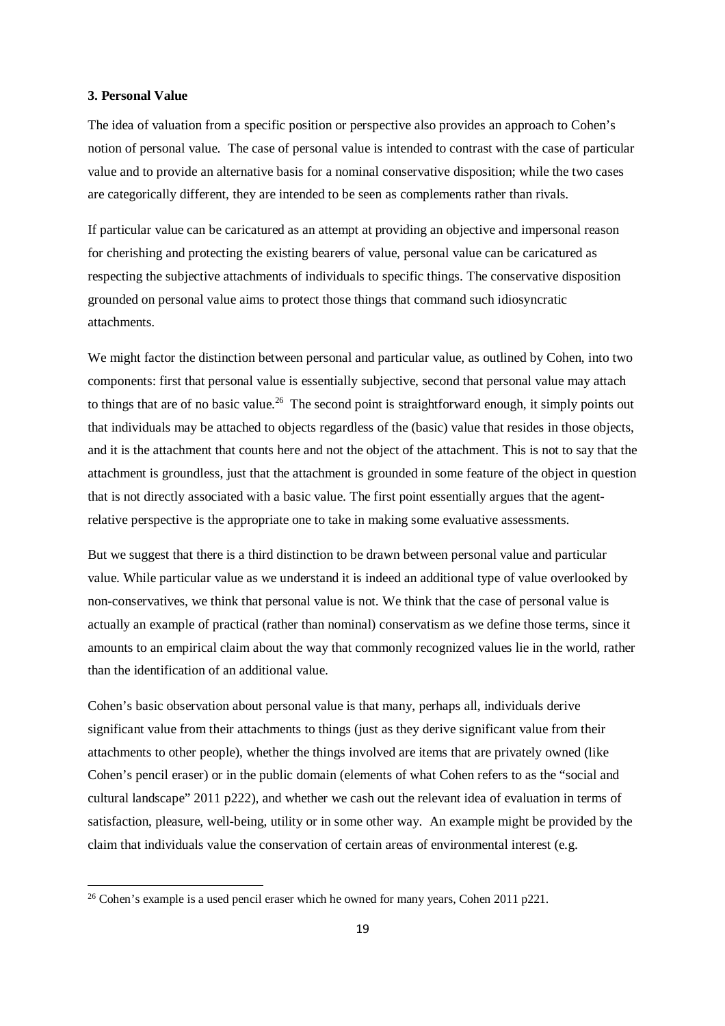### **3. Personal Value**

 $\overline{a}$ 

The idea of valuation from a specific position or perspective also provides an approach to Cohen's notion of personal value. The case of personal value is intended to contrast with the case of particular value and to provide an alternative basis for a nominal conservative disposition; while the two cases are categorically different, they are intended to be seen as complements rather than rivals.

If particular value can be caricatured as an attempt at providing an objective and impersonal reason for cherishing and protecting the existing bearers of value, personal value can be caricatured as respecting the subjective attachments of individuals to specific things. The conservative disposition grounded on personal value aims to protect those things that command such idiosyncratic attachments.

We might factor the distinction between personal and particular value, as outlined by Cohen, into two components: first that personal value is essentially subjective, second that personal value may attach to things that are of no basic value.<sup>26</sup> The second point is straightforward enough, it simply points out that individuals may be attached to objects regardless of the (basic) value that resides in those objects, and it is the attachment that counts here and not the object of the attachment. This is not to say that the attachment is groundless, just that the attachment is grounded in some feature of the object in question that is not directly associated with a basic value. The first point essentially argues that the agentrelative perspective is the appropriate one to take in making some evaluative assessments.

But we suggest that there is a third distinction to be drawn between personal value and particular value. While particular value as we understand it is indeed an additional type of value overlooked by non-conservatives, we think that personal value is not. We think that the case of personal value is actually an example of practical (rather than nominal) conservatism as we define those terms, since it amounts to an empirical claim about the way that commonly recognized values lie in the world, rather than the identification of an additional value.

Cohen's basic observation about personal value is that many, perhaps all, individuals derive significant value from their attachments to things (just as they derive significant value from their attachments to other people), whether the things involved are items that are privately owned (like Cohen's pencil eraser) or in the public domain (elements of what Cohen refers to as the "social and cultural landscape" 2011 p222), and whether we cash out the relevant idea of evaluation in terms of satisfaction, pleasure, well-being, utility or in some other way. An example might be provided by the claim that individuals value the conservation of certain areas of environmental interest (e.g.

 $26$  Cohen's example is a used pencil eraser which he owned for many years, Cohen 2011 p221.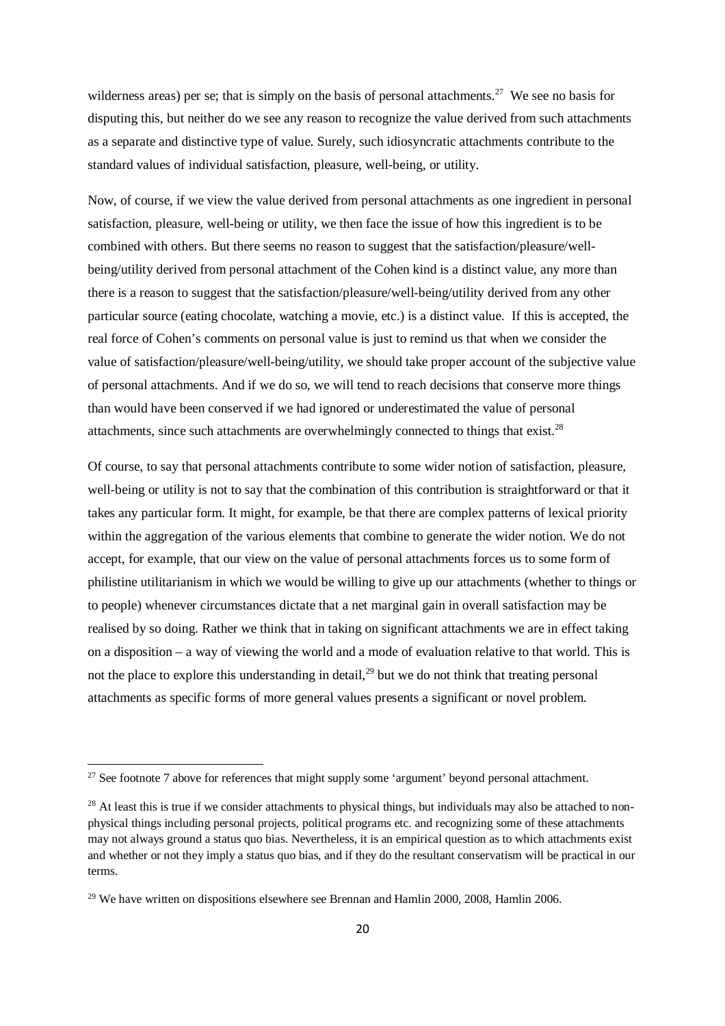wilderness areas) per se; that is simply on the basis of personal attachments.<sup>27</sup> We see no basis for disputing this, but neither do we see any reason to recognize the value derived from such attachments as a separate and distinctive type of value. Surely, such idiosyncratic attachments contribute to the standard values of individual satisfaction, pleasure, well-being, or utility.

Now, of course, if we view the value derived from personal attachments as one ingredient in personal satisfaction, pleasure, well-being or utility, we then face the issue of how this ingredient is to be combined with others. But there seems no reason to suggest that the satisfaction/pleasure/wellbeing/utility derived from personal attachment of the Cohen kind is a distinct value, any more than there is a reason to suggest that the satisfaction/pleasure/well-being/utility derived from any other particular source (eating chocolate, watching a movie, etc.) is a distinct value. If this is accepted, the real force of Cohen's comments on personal value is just to remind us that when we consider the value of satisfaction/pleasure/well-being/utility, we should take proper account of the subjective value of personal attachments. And if we do so, we will tend to reach decisions that conserve more things than would have been conserved if we had ignored or underestimated the value of personal attachments, since such attachments are overwhelmingly connected to things that exist. $^{28}$ 

Of course, to say that personal attachments contribute to some wider notion of satisfaction, pleasure, well-being or utility is not to say that the combination of this contribution is straightforward or that it takes any particular form. It might, for example, be that there are complex patterns of lexical priority within the aggregation of the various elements that combine to generate the wider notion. We do not accept, for example, that our view on the value of personal attachments forces us to some form of philistine utilitarianism in which we would be willing to give up our attachments (whether to things or to people) whenever circumstances dictate that a net marginal gain in overall satisfaction may be realised by so doing. Rather we think that in taking on significant attachments we are in effect taking on a disposition – a way of viewing the world and a mode of evaluation relative to that world. This is not the place to explore this understanding in detail,  $29$  but we do not think that treating personal attachments as specific forms of more general values presents a significant or novel problem.

 $27$  See footnote 7 above for references that might supply some 'argument' beyond personal attachment.

 $^{28}$  At least this is true if we consider attachments to physical things, but individuals may also be attached to nonphysical things including personal projects, political programs etc. and recognizing some of these attachments may not always ground a status quo bias. Nevertheless, it is an empirical question as to which attachments exist and whether or not they imply a status quo bias, and if they do the resultant conservatism will be practical in our terms.

 $29$  We have written on dispositions elsewhere see Brennan and Hamlin 2000, 2008, Hamlin 2006.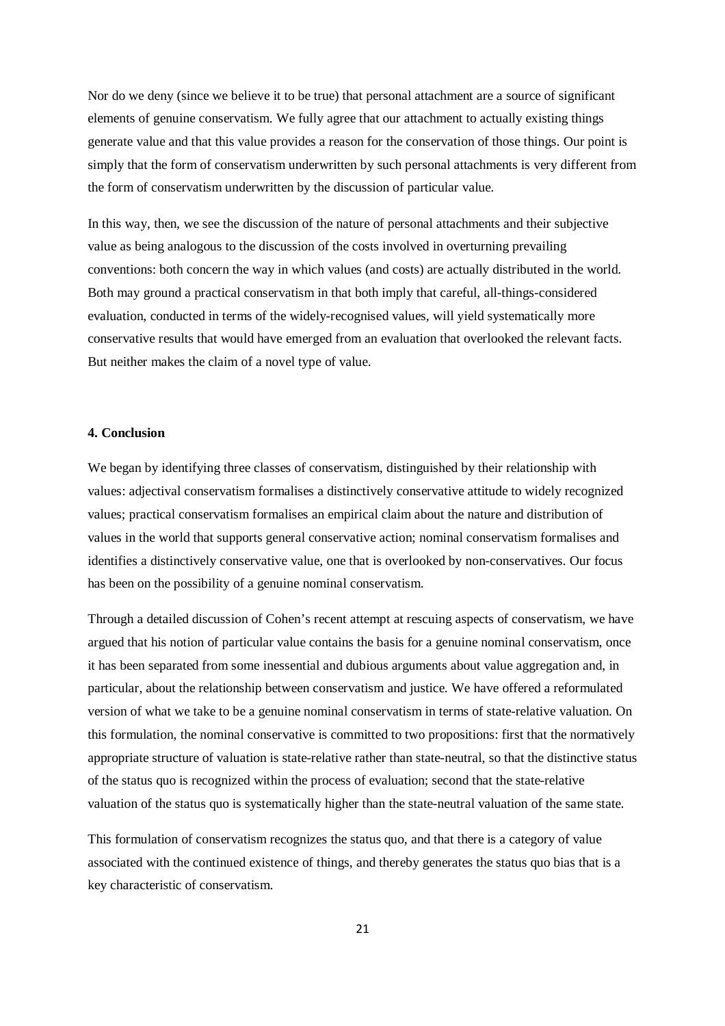Nor do we deny (since we believe it to be true) that personal attachment are a source of significant elements of genuine conservatism. We fully agree that our attachment to actually existing things generate value and that this value provides a reason for the conservation of those things. Our point is simply that the form of conservatism underwritten by such personal attachments is very different from the form of conservatism underwritten by the discussion of particular value.

In this way, then, we see the discussion of the nature of personal attachments and their subjective value as being analogous to the discussion of the costs involved in overturning prevailing conventions: both concern the way in which values (and costs) are actually distributed in the world. Both may ground a practical conservatism in that both imply that careful, all-things-considered evaluation, conducted in terms of the widely-recognised values, will yield systematically more conservative results that would have emerged from an evaluation that overlooked the relevant facts. But neither makes the claim of a novel type of value.

# **4. Conclusion**

We began by identifying three classes of conservatism, distinguished by their relationship with values: adjectival conservatism formalises a distinctively conservative attitude to widely recognized values; practical conservatism formalises an empirical claim about the nature and distribution of values in the world that supports general conservative action; nominal conservatism formalises and identifies a distinctively conservative value, one that is overlooked by non-conservatives. Our focus has been on the possibility of a genuine nominal conservatism.

Through a detailed discussion of Cohen's recent attempt at rescuing aspects of conservatism, we have argued that his notion of particular value contains the basis for a genuine nominal conservatism, once it has been separated from some inessential and dubious arguments about value aggregation and, in particular, about the relationship between conservatism and justice. We have offered a reformulated version of what we take to be a genuine nominal conservatism in terms of state-relative valuation. On this formulation, the nominal conservative is committed to two propositions: first that the normatively appropriate structure of valuation is state-relative rather than state-neutral, so that the distinctive status of the status quo is recognized within the process of evaluation; second that the state-relative valuation of the status quo is systematically higher than the state-neutral valuation of the same state.

This formulation of conservatism recognizes the status quo, and that there is a category of value associated with the continued existence of things, and thereby generates the status quo bias that is a key characteristic of conservatism.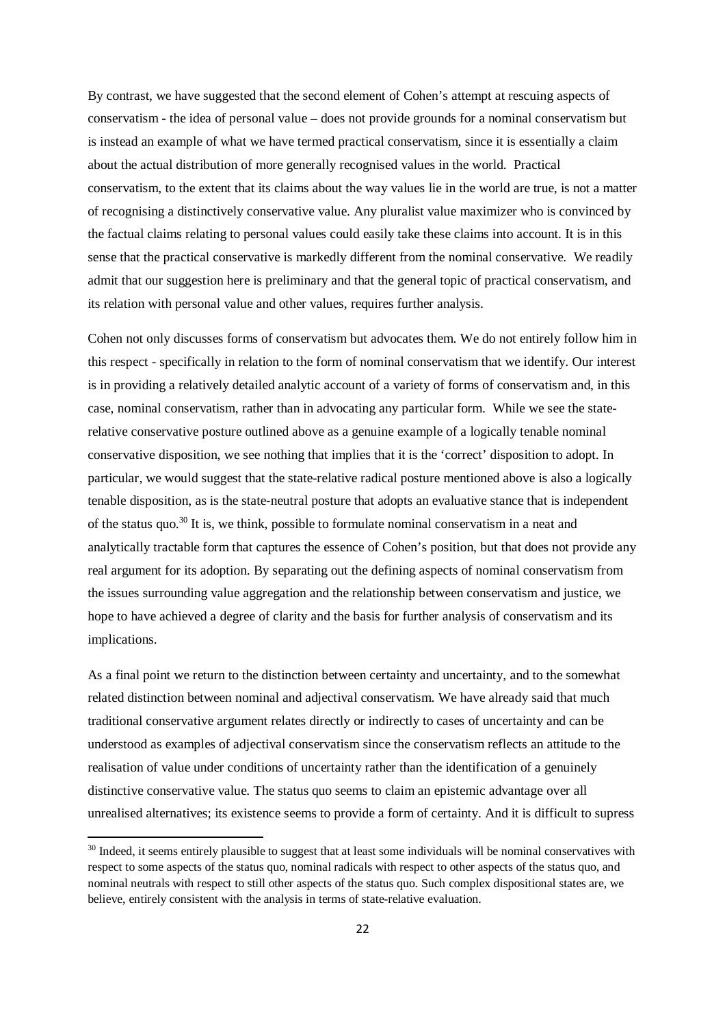By contrast, we have suggested that the second element of Cohen's attempt at rescuing aspects of conservatism - the idea of personal value – does not provide grounds for a nominal conservatism but is instead an example of what we have termed practical conservatism, since it is essentially a claim about the actual distribution of more generally recognised values in the world. Practical conservatism, to the extent that its claims about the way values lie in the world are true, is not a matter of recognising a distinctively conservative value. Any pluralist value maximizer who is convinced by the factual claims relating to personal values could easily take these claims into account. It is in this sense that the practical conservative is markedly different from the nominal conservative. We readily admit that our suggestion here is preliminary and that the general topic of practical conservatism, and its relation with personal value and other values, requires further analysis.

Cohen not only discusses forms of conservatism but advocates them. We do not entirely follow him in this respect - specifically in relation to the form of nominal conservatism that we identify. Our interest is in providing a relatively detailed analytic account of a variety of forms of conservatism and, in this case, nominal conservatism, rather than in advocating any particular form. While we see the staterelative conservative posture outlined above as a genuine example of a logically tenable nominal conservative disposition, we see nothing that implies that it is the 'correct' disposition to adopt. In particular, we would suggest that the state-relative radical posture mentioned above is also a logically tenable disposition, as is the state-neutral posture that adopts an evaluative stance that is independent of the status quo.<sup>30</sup> It is, we think, possible to formulate nominal conservatism in a neat and analytically tractable form that captures the essence of Cohen's position, but that does not provide any real argument for its adoption. By separating out the defining aspects of nominal conservatism from the issues surrounding value aggregation and the relationship between conservatism and justice, we hope to have achieved a degree of clarity and the basis for further analysis of conservatism and its implications.

As a final point we return to the distinction between certainty and uncertainty, and to the somewhat related distinction between nominal and adjectival conservatism. We have already said that much traditional conservative argument relates directly or indirectly to cases of uncertainty and can be understood as examples of adjectival conservatism since the conservatism reflects an attitude to the realisation of value under conditions of uncertainty rather than the identification of a genuinely distinctive conservative value. The status quo seems to claim an epistemic advantage over all unrealised alternatives; its existence seems to provide a form of certainty. And it is difficult to supress

<sup>&</sup>lt;sup>30</sup> Indeed, it seems entirely plausible to suggest that at least some individuals will be nominal conservatives with respect to some aspects of the status quo, nominal radicals with respect to other aspects of the status quo, and nominal neutrals with respect to still other aspects of the status quo. Such complex dispositional states are, we believe, entirely consistent with the analysis in terms of state-relative evaluation.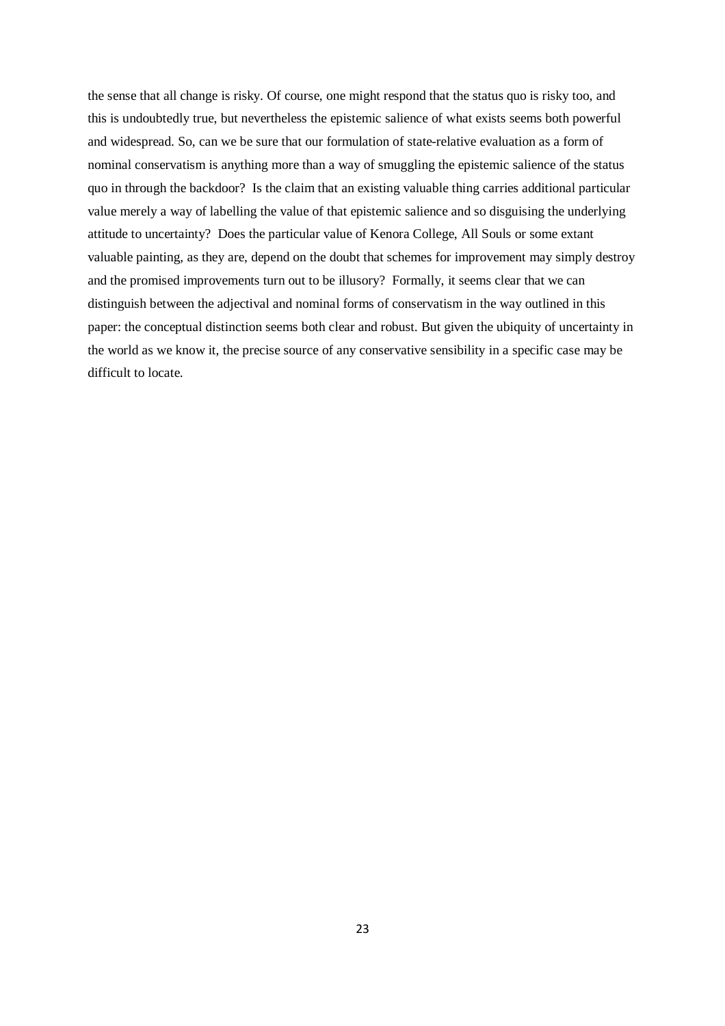the sense that all change is risky. Of course, one might respond that the status quo is risky too, and this is undoubtedly true, but nevertheless the epistemic salience of what exists seems both powerful and widespread. So, can we be sure that our formulation of state-relative evaluation as a form of nominal conservatism is anything more than a way of smuggling the epistemic salience of the status quo in through the backdoor? Is the claim that an existing valuable thing carries additional particular value merely a way of labelling the value of that epistemic salience and so disguising the underlying attitude to uncertainty? Does the particular value of Kenora College, All Souls or some extant valuable painting, as they are, depend on the doubt that schemes for improvement may simply destroy and the promised improvements turn out to be illusory? Formally, it seems clear that we can distinguish between the adjectival and nominal forms of conservatism in the way outlined in this paper: the conceptual distinction seems both clear and robust. But given the ubiquity of uncertainty in the world as we know it, the precise source of any conservative sensibility in a specific case may be difficult to locate.